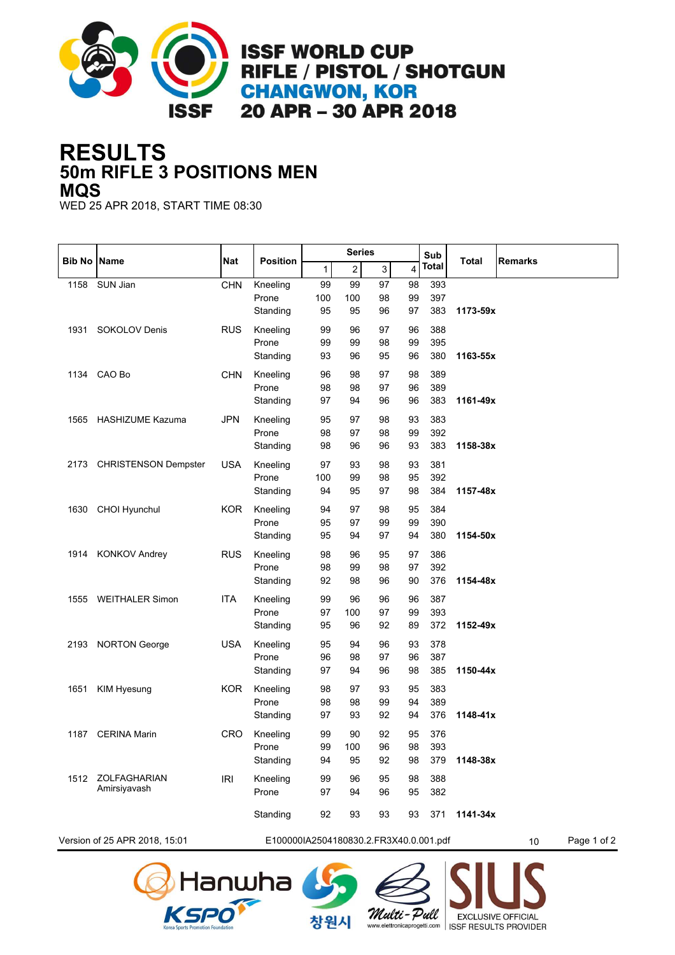

## **50m RIFLE 3 POSITIONS MEN RESULTS MQS**

WED 25 APR 2018, START TIME 08:30

| <b>Bib No Name</b>                                                            |                             | <b>Nat</b> | <b>Position</b>   | <b>Series</b> |                |                           |          | Sub        | <b>Total</b> | <b>Remarks</b> |  |
|-------------------------------------------------------------------------------|-----------------------------|------------|-------------------|---------------|----------------|---------------------------|----------|------------|--------------|----------------|--|
|                                                                               |                             |            |                   | 1             | $\overline{a}$ | $\ensuremath{\mathsf{3}}$ | 4        | Total      |              |                |  |
| 1158                                                                          | SUN Jian                    | <b>CHN</b> | Kneeling          | 99            | 99             | 97                        | 98       | 393        |              |                |  |
|                                                                               |                             |            | Prone             | 100           | 100            | 98                        | 99       | 397        |              |                |  |
|                                                                               |                             |            | Standing          | 95            | 95             | 96                        | 97       | 383        | 1173-59x     |                |  |
| 1931                                                                          | SOKOLOV Denis               | <b>RUS</b> | Kneeling          | 99            | 96             | 97                        | 96       | 388        |              |                |  |
|                                                                               |                             |            | Prone             | 99            | 99             | 98                        | 99       | 395        |              |                |  |
|                                                                               |                             |            | Standing          | 93            | 96             | 95                        | 96       | 380        | 1163-55x     |                |  |
| 1134                                                                          | CAO Bo                      | <b>CHN</b> | Kneeling          | 96            | 98             | 97                        | 98       | 389        |              |                |  |
|                                                                               |                             |            | Prone             | 98            | 98             | 97                        | 96       | 389        |              |                |  |
|                                                                               |                             |            | Standing          | 97            | 94             | 96                        | 96       | 383        | 1161-49x     |                |  |
| 1565                                                                          | <b>HASHIZUME Kazuma</b>     | JPN        | Kneeling          | 95            | 97             | 98                        | 93       | 383        |              |                |  |
|                                                                               |                             |            | Prone             | 98            | 97             | 98                        | 99       | 392        |              |                |  |
|                                                                               |                             |            | Standing          | 98            | 96             | 96                        | 93       | 383        | 1158-38x     |                |  |
|                                                                               |                             |            |                   |               |                |                           |          |            |              |                |  |
| 2173                                                                          | <b>CHRISTENSON Dempster</b> | <b>USA</b> | Kneeling<br>Prone | 97<br>100     | 93<br>99       | 98<br>98                  | 93<br>95 | 381<br>392 |              |                |  |
|                                                                               |                             |            | Standing          | 94            | 95             | 97                        | 98       | 384        | 1157-48x     |                |  |
|                                                                               |                             |            |                   |               |                |                           |          |            |              |                |  |
| 1630                                                                          | CHOI Hyunchul               | <b>KOR</b> | Kneeling          | 94            | 97             | 98                        | 95       | 384        |              |                |  |
|                                                                               |                             |            | Prone             | 95            | 97             | 99                        | 99       | 390        |              |                |  |
|                                                                               |                             |            | Standing          | 95            | 94             | 97                        | 94       | 380        | 1154-50x     |                |  |
| 1914                                                                          | <b>KONKOV Andrey</b>        | <b>RUS</b> | Kneeling          | 98            | 96             | 95                        | 97       | 386        |              |                |  |
|                                                                               |                             |            | Prone             | 98            | 99             | 98                        | 97       | 392        |              |                |  |
|                                                                               |                             |            | Standing          | 92            | 98             | 96                        | 90       | 376        | 1154-48x     |                |  |
| 1555                                                                          | <b>WEITHALER Simon</b>      | ITA        | Kneeling          | 99            | 96             | 96                        | 96       | 387        |              |                |  |
|                                                                               |                             |            | Prone             | 97            | 100            | 97                        | 99       | 393        |              |                |  |
|                                                                               |                             |            | Standing          | 95            | 96             | 92                        | 89       | 372        | 1152-49x     |                |  |
| 2193                                                                          | <b>NORTON George</b>        | <b>USA</b> | Kneeling          | 95            | 94             | 96                        | 93       | 378        |              |                |  |
|                                                                               |                             |            | Prone             | 96            | 98             | 97                        | 96       | 387        |              |                |  |
|                                                                               |                             |            | Standing          | 97            | 94             | 96                        | 98       | 385        | 1150-44x     |                |  |
| 1651                                                                          | <b>KIM Hyesung</b>          | <b>KOR</b> | Kneeling          | 98            | 97             | 93                        | 95       | 383        |              |                |  |
|                                                                               |                             |            | Prone             | 98            | 98             | 99                        | 94       | 389        |              |                |  |
|                                                                               |                             |            | Standing          | 97            | 93             | 92                        | 94       | 376        | 1148-41x     |                |  |
|                                                                               |                             |            |                   |               |                |                           |          |            |              |                |  |
| 1187                                                                          | <b>CERINA Marin</b>         | <b>CRO</b> | Kneeling          | 99            | 90             | 92                        | 95       | 376        |              |                |  |
|                                                                               |                             |            | Prone             | 99            | 100            | 96                        | 98       | 393        |              |                |  |
|                                                                               |                             |            | Standing          | 94            | 95             | 92                        | 98       | 379        | 1148-38x     |                |  |
| 1512                                                                          | ZOLFAGHARIAN                | <b>IRI</b> | Kneeling          | 99            | 96             | 95                        | 98       | 388        |              |                |  |
|                                                                               | Amirsiyavash                |            | Prone             | 97            | 94             | 96                        | 95       | 382        |              |                |  |
|                                                                               |                             |            | Standing          | 92            | 93             | 93                        | 93       | 371        | 1141-34x     |                |  |
| Version of 25 APR 2018, 15:01<br>E100000IA2504180830.2.FR3X40.0.001.pdf<br>10 |                             |            |                   |               |                |                           |          |            | Page 1 of 2  |                |  |
|                                                                               |                             |            |                   |               |                |                           |          |            |              |                |  |





창원시